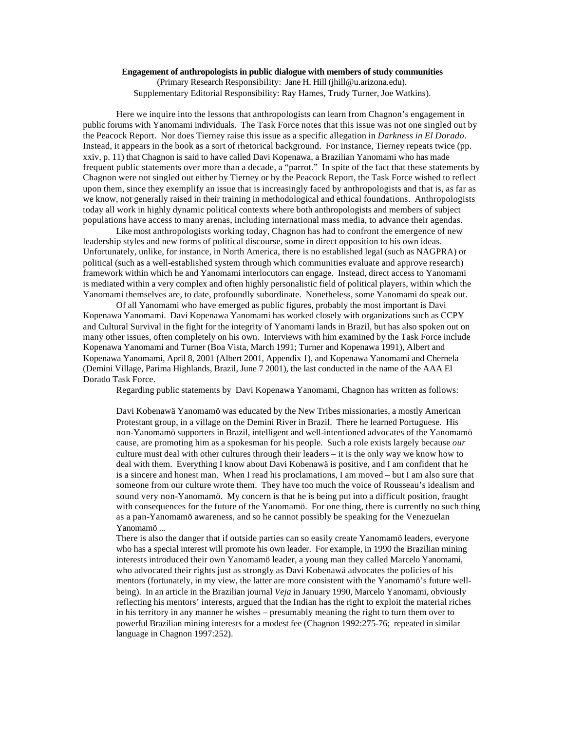## **Engagement of anthropologists in public dialogue with members of study communities**

(Primary Research Responsibility: Jane H. Hill (jhill@u.arizona.edu). Supplementary Editorial Responsibility: Ray Hames, Trudy Turner, Joe Watkins).

Here we inquire into the lessons that anthropologists can learn from Chagnon's engagement in public forums with Yanomami individuals. The Task Force notes that this issue was not one singled out by the Peacock Report. Nor does Tierney raise this issue as a specific allegation in *Darkness in El Dorado*. Instead, it appears in the book as a sort of rhetorical background. For instance, Tierney repeats twice (pp. xxiv, p. 11) that Chagnon is said to have called Davi Kopenawa, a Brazilian Yanomami who has made frequent public statements over more than a decade, a "parrot." In spite of the fact that these statements by Chagnon were not singled out either by Tierney or by the Peacock Report, the Task Force wished to reflect upon them, since they exemplify an issue that is increasingly faced by anthropologists and that is, as far as we know, not generally raised in their training in methodological and ethical foundations. Anthropologists today all work in highly dynamic political contexts where both anthropologists and members of subject populations have access to many arenas, including international mass media, to advance their agendas.

Like most anthropologists working today, Chagnon has had to confront the emergence of new leadership styles and new forms of political discourse, some in direct opposition to his own ideas. Unfortunately, unlike, for instance, in North America, there is no established legal (such as NAGPRA) or political (such as a well-established system through which communities evaluate and approve research) framework within which he and Yanomami interlocutors can engage. Instead, direct access to Yanomami is mediated within a very complex and often highly personalistic field of political players, within which the Yanomami themselves are, to date, profoundly subordinate. Nonetheless, some Yanomami do speak out.

Of all Yanomami who have emerged as public figures, probably the most important is Davi Kopenawa Yanomami. Davi Kopenawa Yanomami has worked closely with organizations such as CCPY and Cultural Survival in the fight for the integrity of Yanomami lands in Brazil, but has also spoken out on many other issues, often completely on his own. Interviews with him examined by the Task Force include Kopenawa Yanomami and Turner (Boa Vista, March 1991; Turner and Kopenawa 1991), Albert and Kopenawa Yanomami, April 8, 2001 (Albert 2001, Appendix 1), and Kopenawa Yanomami and Chernela (Demini Village, Parima Highlands, Brazil, June 7 2001), the last conducted in the name of the AAA El Dorado Task Force.

Regarding public statements by Davi Kopenawa Yanomami, Chagnon has written as follows:

Davi Kobenawä Yanomamö was educated by the New Tribes missionaries, a mostly American Protestant group, in a village on the Demini River in Brazil. There he learned Portuguese. His non-Yanomamö supporters in Brazil, intelligent and well-intentioned advocates of the Yanomamö cause, are promoting him as a spokesman for his people. Such a role exists largely because *our* culture must deal with other cultures through their leaders – it is the only way we know how to deal with them. Everything I know about Davi Kobenawä is positive, and I am confident that he is a sincere and honest man. When I read his proclamations, I am moved – but I am also sure that someone from our culture wrote them. They have too much the voice of Rousseau's idealism and sound very non-Yanomamö. My concern is that he is being put into a difficult position, fraught with consequences for the future of the Yanomamö. For one thing, there is currently no such thing as a pan-Yanomamö awareness, and so he cannot possibly be speaking for the Venezuelan Yanomamö ...

There is also the danger that if outside parties can so easily create Yanomamö leaders, everyone who has a special interest will promote his own leader. For example, in 1990 the Brazilian mining interests introduced their own Yanomamö leader, a young man they called Marcelo Yanomami, who advocated their rights just as strongly as Davi Kobenawä advocates the policies of his mentors (fortunately, in my view, the latter are more consistent with the Yanomamö's future wellbeing). In an article in the Brazilian journal *Veja* in January 1990, Marcelo Yanomami, obviously reflecting his mentors' interests, argued that the Indian has the right to exploit the material riches in his territory in any manner he wishes – presumably meaning the right to turn them over to powerful Brazilian mining interests for a modest fee (Chagnon 1992:275-76; repeated in similar language in Chagnon 1997:252).